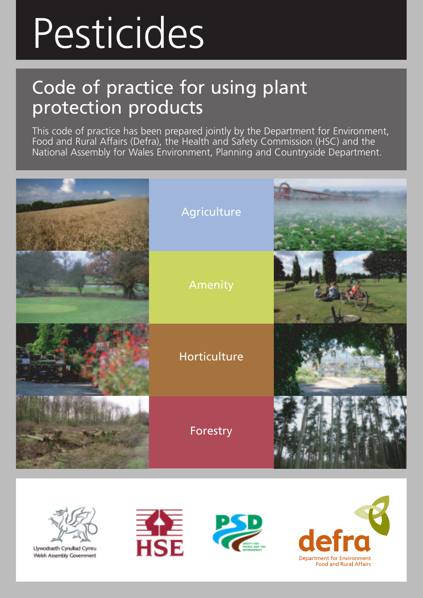# Pesticides

# Code of practice for using plant protection products

This code of practice has been prepared jointly by the Department for Environment, Food and Rural Affairs (Defra), the Health and Safety Commission (HSC) and the National Assembly for Wales Environment, Planning and Countryside Department.





Llywodraeth Cynulliad Cymru Welsh Assembly Government





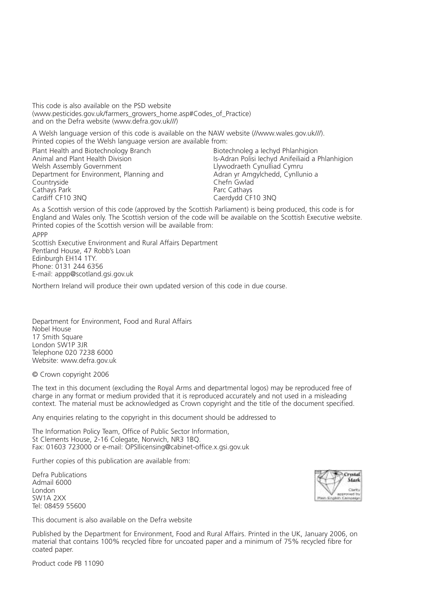This code is also available on the PSD website (www.pesticides.gov.uk/farmers\_growers\_home.asp#Codes\_of\_Practice) and on the Defra website (www.defra.gov.uk///)

A Welsh language version of this code is available on the NAW website (//www.wales.gov.uk///). Printed copies of the Welsh language version are available from:

Plant Health and Biotechnology Branch Biotechnoleg a Iechyd Phlanhigion<br>Animal and Plant Health Division Biotechnology Biotechnoleg a Iechyd Anifeiliaid a F Department for Environment, Planning and<br>Countryside Cathays Park<br>Cardiff CF10 3NO

Animal and Plant Health Division **Is-Adran Polisi Iechyd Anifeiliaid a Phlanhigion**<br>Is-Adran Polisi Iechyd Anifeiliaid Cymru<br>Ilywodraeth Cynulliad Cymru Llywodraeth Cynulliad Cymru<br>Adran yr Amgylchedd, Cynllunio a Chefn Gwlad<br>Parc Cathavs Caerdydd CF10 3NQ

As a Scottish version of this code (approved by the Scottish Parliament) is being produced, this code is for England and Wales only. The Scottish version of the code will be available on the Scottish Executive website. Printed copies of the Scottish version will be available from:

APPP Scottish Executive Environment and Rural Affairs Department Pentland House, 47 Robb's Loan Edinburgh EH14 1TY. Phone: 0131 244 6356 E-mail: appp@scotland.gsi.gov.uk

Northern Ireland will produce their own updated version of this code in due course.

Department for Environment, Food and Rural Affairs Nobel House 17 Smith Square London SW1P 3JR Telephone 020 7238 6000 Website: www.defra.gov.uk

© Crown copyright 2006

The text in this document (excluding the Royal Arms and departmental logos) may be reproduced free of charge in any format or medium provided that it is reproduced accurately and not used in a misleading context. The material must be acknowledged as Crown copyright and the title of the document specified.

Any enquiries relating to the copyright in this document should be addressed to

The Information Policy Team, Office of Public Sector Information, St Clements House, 2-16 Colegate, Norwich, NR3 1BQ. Fax: 01603 723000 or e-mail: OPSIlicensing@cabinet-office.x.gsi.gov.uk

Further copies of this publication are available from:

Defra Publications Admail 6000 London SW1A 2XX Tel: 08459 55600

This document is also available on the Defra website

Published by the Department for Environment, Food and Rural Affairs. Printed in the UK, January 2006, on material that contains 100% recycled fibre for uncoated paper and a minimum of 75% recycled fibre for coated paper.



Product code PB 11090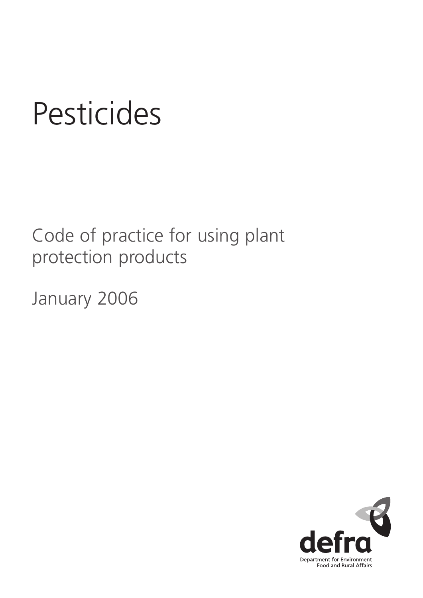# **Pesticides**

Code of practice for using plant protection products

January 2006

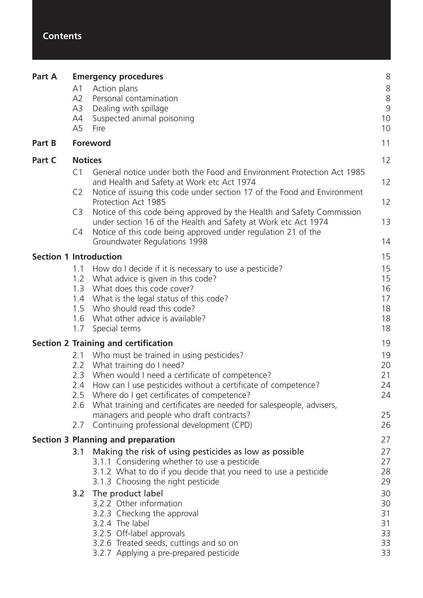#### **Contents**

| Part A                        |                | <b>Emergency procedures</b>                                                                                                              | 8        |
|-------------------------------|----------------|------------------------------------------------------------------------------------------------------------------------------------------|----------|
|                               | A1             | Action plans                                                                                                                             | 8        |
|                               | A2             | Personal contamination                                                                                                                   | 8        |
|                               | A3             | Dealing with spillage                                                                                                                    | 9        |
|                               | A4             | Suspected animal poisoning                                                                                                               | 10       |
|                               | A5             | Fire                                                                                                                                     | 10       |
| Part B                        |                | Foreword                                                                                                                                 | 11       |
| Part C                        | <b>Notices</b> |                                                                                                                                          | 12       |
|                               | C <sub>1</sub> | General notice under both the Food and Environment Protection Act 1985<br>and Health and Safety at Work etc Act 1974                     | 12       |
|                               | C <sub>2</sub> | Notice of issuing this code under section 17 of the Food and Environment<br>Protection Act 1985                                          | 12       |
|                               | C <sub>3</sub> | Notice of this code being approved by the Health and Safety Commission<br>under section 16 of the Health and Safety at Work etc Act 1974 | 13       |
|                               | C4             | Notice of this code being approved under regulation 21 of the<br>Groundwater Regulations 1998                                            | 14       |
| <b>Section 1 Introduction</b> |                |                                                                                                                                          | 15       |
|                               | 1.1            | How do I decide if it is necessary to use a pesticide?                                                                                   | 15       |
|                               | 1.2            | What advice is given in this code?                                                                                                       | 15       |
|                               | 1.3            | What does this code cover?                                                                                                               | 16       |
|                               |                | 1.4 What is the legal status of this code?                                                                                               | 17<br>18 |
|                               |                | 1.5 Who should read this code?<br>1.6 What other advice is available?                                                                    | 18       |
|                               | 1.7            | Special terms                                                                                                                            | 18       |
|                               |                | <b>Section 2 Training and certification</b>                                                                                              | 19       |
|                               | 2.1            | Who must be trained in using pesticides?                                                                                                 | 19       |
|                               |                | 2.2 What training do I need?                                                                                                             | 20       |
|                               | 2.3            | When would I need a certificate of competence?                                                                                           | 21       |
|                               | 2.4            | How can I use pesticides without a certificate of competence?                                                                            | 24       |
|                               |                | 2.5 Where do I get certificates of competence?                                                                                           | 24       |
|                               | 2.6            | What training and certificates are needed for salespeople, advisers,                                                                     |          |
|                               |                | managers and people who draft contracts?                                                                                                 | 25       |
|                               | 2.7            | Continuing professional development (CPD)                                                                                                | 26       |
|                               |                | <b>Section 3 Planning and preparation</b>                                                                                                | 27       |
|                               | 3.1            | Making the risk of using pesticides as low as possible                                                                                   | 27       |
|                               |                | 3.1.1 Considering whether to use a pesticide                                                                                             | 27<br>28 |
|                               |                | 3.1.2 What to do if you decide that you need to use a pesticide<br>3.1.3 Choosing the right pesticide                                    | 29       |
|                               |                |                                                                                                                                          | 30       |
|                               |                | 3.2 The product label<br>3.2.2 Other information                                                                                         | 30       |
|                               |                | 3.2.3 Checking the approval                                                                                                              | 31       |
|                               |                | 3.2.4 The label                                                                                                                          | 31       |
|                               |                | 3.2.5 Off-label approvals                                                                                                                | 33       |
|                               |                | 3.2.6 Treated seeds, cuttings and so on                                                                                                  | 33       |
|                               |                | 3.2.7 Applying a pre-prepared pesticide                                                                                                  | 33       |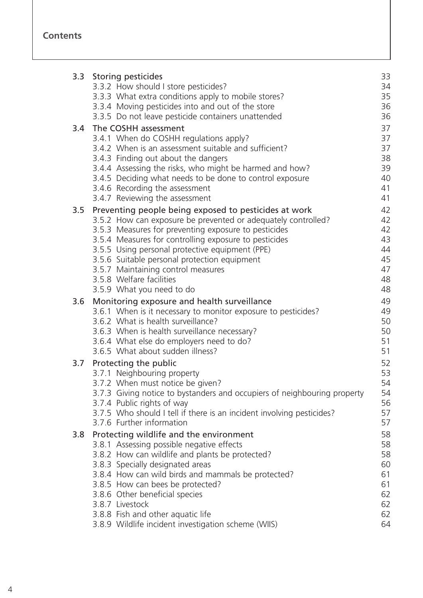|     | 3.3 Storing pesticides                                                                                  | 33       |
|-----|---------------------------------------------------------------------------------------------------------|----------|
|     | 3.3.2 How should I store pesticides?                                                                    | 34       |
|     | 3.3.3 What extra conditions apply to mobile stores?                                                     | 35       |
|     | 3.3.4 Moving pesticides into and out of the store<br>3.3.5 Do not leave pesticide containers unattended | 36<br>36 |
|     |                                                                                                         |          |
| 3.4 | The COSHH assessment                                                                                    | 37       |
|     | 3.4.1 When do COSHH regulations apply?                                                                  | 37       |
|     | 3.4.2 When is an assessment suitable and sufficient?                                                    | 37       |
|     | 3.4.3 Finding out about the dangers                                                                     | 38       |
|     | 3.4.4 Assessing the risks, who might be harmed and how?                                                 | 39       |
|     | 3.4.5 Deciding what needs to be done to control exposure                                                | 40<br>41 |
|     | 3.4.6 Recording the assessment<br>3.4.7 Reviewing the assessment                                        | 41       |
|     |                                                                                                         |          |
| 3.5 | Preventing people being exposed to pesticides at work                                                   | 42       |
|     | 3.5.2 How can exposure be prevented or adequately controlled?                                           | 42       |
|     | 3.5.3 Measures for preventing exposure to pesticides                                                    | 42<br>43 |
|     | 3.5.4 Measures for controlling exposure to pesticides                                                   | 44       |
|     | 3.5.5 Using personal protective equipment (PPE)<br>3.5.6 Suitable personal protection equipment         | 45       |
|     | 3.5.7 Maintaining control measures                                                                      | 47       |
|     | 3.5.8 Welfare facilities                                                                                | 48       |
|     | 3.5.9 What you need to do                                                                               | 48       |
| 3.6 | Monitoring exposure and health surveillance                                                             | 49       |
|     | 3.6.1 When is it necessary to monitor exposure to pesticides?                                           | 49       |
|     | 3.6.2 What is health surveillance?                                                                      | 50       |
|     | 3.6.3 When is health surveillance necessary?                                                            | 50       |
|     | 3.6.4 What else do employers need to do?                                                                | 51       |
|     | 3.6.5 What about sudden illness?                                                                        | 51       |
| 3.7 | Protecting the public                                                                                   | 52       |
|     | 3.7.1 Neighbouring property                                                                             | 53       |
|     | 3.7.2 When must notice be given?                                                                        | 54       |
|     | 3.7.3 Giving notice to bystanders and occupiers of neighbouring property                                | 54       |
|     | 3.7.4 Public rights of way                                                                              | 56       |
|     | 3.7.5 Who should I tell if there is an incident involving pesticides?                                   | 57       |
|     | 3.7.6 Further information                                                                               | 57       |
| 3.8 | Protecting wildlife and the environment                                                                 | 58       |
|     | 3.8.1 Assessing possible negative effects                                                               | 58       |
|     | 3.8.2 How can wildlife and plants be protected?                                                         | 58       |
|     | 3.8.3 Specially designated areas                                                                        | 60       |
|     | 3.8.4 How can wild birds and mammals be protected?                                                      | 61       |
|     | 3.8.5 How can bees be protected?                                                                        | 61       |
|     | 3.8.6 Other beneficial species                                                                          | 62       |
|     | 3.8.7 Livestock                                                                                         | 62       |
|     | 3.8.8 Fish and other aquatic life                                                                       | 62       |
|     | 3.8.9 Wildlife incident investigation scheme (WIIS)                                                     | 64       |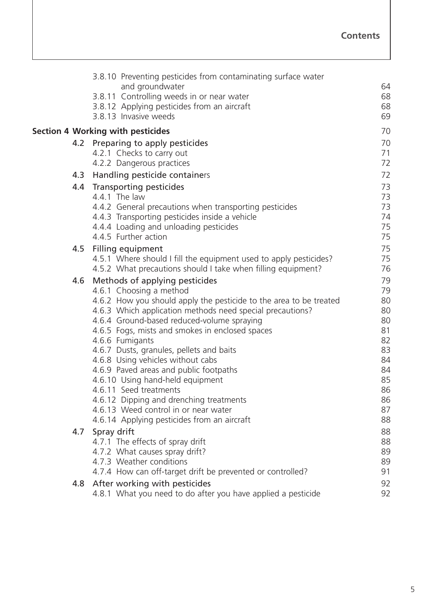|     | 3.8.10 Preventing pesticides from contaminating surface water                                                                   |          |
|-----|---------------------------------------------------------------------------------------------------------------------------------|----------|
|     | and groundwater                                                                                                                 | 64       |
|     | 3.8.11 Controlling weeds in or near water                                                                                       | 68       |
|     | 3.8.12 Applying pesticides from an aircraft                                                                                     | 68       |
|     | 3.8.13 Invasive weeds                                                                                                           | 69       |
|     | <b>Section 4 Working with pesticides</b>                                                                                        | 70       |
|     | 4.2 Preparing to apply pesticides                                                                                               | 70       |
|     | 4.2.1 Checks to carry out                                                                                                       | 71       |
|     | 4.2.2 Dangerous practices                                                                                                       | 72       |
| 4.3 | Handling pesticide containers                                                                                                   | 72       |
| 4.4 | <b>Transporting pesticides</b>                                                                                                  | 73       |
|     | 4.4.1 The law                                                                                                                   | 73       |
|     | 4.4.2 General precautions when transporting pesticides                                                                          | 73       |
|     | 4.4.3 Transporting pesticides inside a vehicle                                                                                  | 74       |
|     | 4.4.4 Loading and unloading pesticides                                                                                          | 75       |
|     | 4.4.5 Further action                                                                                                            | 75       |
| 4.5 | <b>Filling equipment</b>                                                                                                        | 75       |
|     | 4.5.1 Where should I fill the equipment used to apply pesticides?                                                               | 75       |
|     | 4.5.2 What precautions should I take when filling equipment?                                                                    | 76       |
| 4.6 | Methods of applying pesticides                                                                                                  | 79       |
|     | 4.6.1 Choosing a method                                                                                                         | 79       |
|     | 4.6.2 How you should apply the pesticide to the area to be treated<br>4.6.3 Which application methods need special precautions? | 80<br>80 |
|     | 4.6.4 Ground-based reduced-volume spraying                                                                                      | 80       |
|     | 4.6.5 Fogs, mists and smokes in enclosed spaces                                                                                 | 81       |
|     | 4.6.6 Fumigants                                                                                                                 | 82       |
|     | 4.6.7 Dusts, granules, pellets and baits                                                                                        | 83       |
|     | 4.6.8 Using vehicles without cabs                                                                                               | 84       |
|     | 4.6.9 Paved areas and public footpaths                                                                                          | 84       |
|     | 4.6.10 Using hand-held equipment                                                                                                | 85       |
|     | 4.6.11 Seed treatments                                                                                                          | 86       |
|     | 4.6.12 Dipping and drenching treatments                                                                                         | 86       |
|     | 4.6.13 Weed control in or near water                                                                                            | 87       |
|     | 4.6.14 Applying pesticides from an aircraft                                                                                     | 88       |
| 4.7 | Spray drift                                                                                                                     | 88       |
|     | 4.7.1 The effects of spray drift                                                                                                | 88<br>89 |
|     | 4.7.2 What causes spray drift?<br>4.7.3 Weather conditions                                                                      | 89       |
|     | 4.7.4 How can off-target drift be prevented or controlled?                                                                      | 91       |
|     | 4.8 After working with pesticides                                                                                               | 92       |
|     | 4.8.1 What you need to do after you have applied a pesticide                                                                    | 92       |
|     |                                                                                                                                 |          |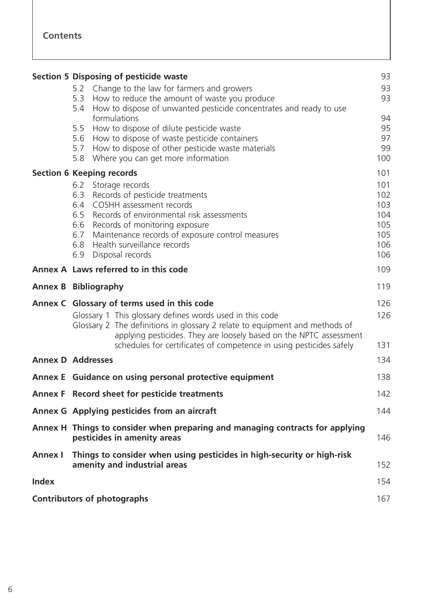|                | <b>Section 5 Disposing of pesticide waste</b>                                                                                                                                                                                                                                                                                                            | 93                                                   |
|----------------|----------------------------------------------------------------------------------------------------------------------------------------------------------------------------------------------------------------------------------------------------------------------------------------------------------------------------------------------------------|------------------------------------------------------|
|                | Change to the law for farmers and growers<br>5.2<br>5.3 How to reduce the amount of waste you produce<br>5.4 How to dispose of unwanted pesticide concentrates and ready to use                                                                                                                                                                          | 93<br>93                                             |
|                | formulations<br>5.5 How to dispose of dilute pesticide waste<br>5.6 How to dispose of waste pesticide containers<br>How to dispose of other pesticide waste materials<br>5.7<br>Where you can get more information<br>5.8                                                                                                                                | 94<br>95<br>97<br>99<br>100                          |
|                | <b>Section 6 Keeping records</b>                                                                                                                                                                                                                                                                                                                         | 101                                                  |
|                | 6.2 Storage records<br>Records of pesticide treatments<br>6.3<br>6.4 COSHH assessment records<br>6.5 Records of environmental risk assessments<br>6.6 Records of monitoring exposure<br>Maintenance records of exposure control measures<br>6.7<br>6.8 Health surveillance records<br>Disposal records<br>6.9                                            | 101<br>102<br>103<br>104<br>105<br>105<br>106<br>106 |
|                | Annex A Laws referred to in this code                                                                                                                                                                                                                                                                                                                    | 109                                                  |
|                | <b>Annex B Bibliography</b>                                                                                                                                                                                                                                                                                                                              | 119                                                  |
|                | 126<br>Annex C Glossary of terms used in this code<br>Glossary 1 This glossary defines words used in this code<br>126<br>Glossary 2 The definitions in glossary 2 relate to equipment and methods of<br>applying pesticides. They are loosely based on the NPTC assessment<br>schedules for certificates of competence in using pesticides safely<br>131 |                                                      |
|                | <b>Annex D Addresses</b>                                                                                                                                                                                                                                                                                                                                 | 134                                                  |
|                | Annex E Guidance on using personal protective equipment                                                                                                                                                                                                                                                                                                  | 138                                                  |
|                | Annex F Record sheet for pesticide treatments                                                                                                                                                                                                                                                                                                            | 142                                                  |
|                | Annex G Applying pesticides from an aircraft<br>144                                                                                                                                                                                                                                                                                                      |                                                      |
|                | Annex H Things to consider when preparing and managing contracts for applying<br>pesticides in amenity areas<br>146                                                                                                                                                                                                                                      |                                                      |
| <b>Annex I</b> | Things to consider when using pesticides in high-security or high-risk<br>amenity and industrial areas                                                                                                                                                                                                                                                   | 152                                                  |
| <b>Index</b>   |                                                                                                                                                                                                                                                                                                                                                          | 154                                                  |
|                |                                                                                                                                                                                                                                                                                                                                                          |                                                      |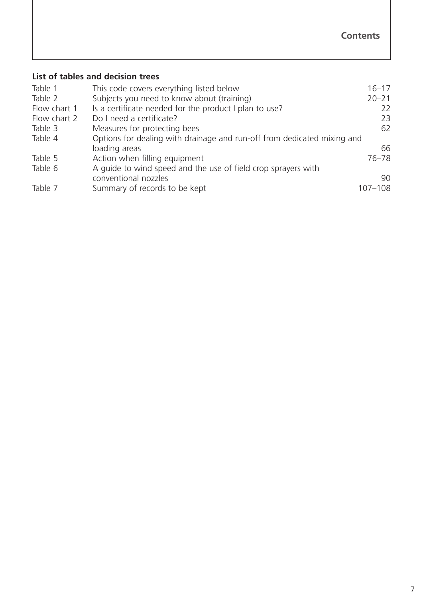#### **List of tables and decision trees**

| Table 1      | This code covers everything listed below                                | $16 - 17$   |
|--------------|-------------------------------------------------------------------------|-------------|
| Table 2      | Subjects you need to know about (training)                              | $20 - 21$   |
| Flow chart 1 | Is a certificate needed for the product I plan to use?                  | 22          |
| Flow chart 2 | Do I need a certificate?                                                | 23          |
| Table 3      | Measures for protecting bees                                            | 62          |
| Table 4      | Options for dealing with drainage and run-off from dedicated mixing and |             |
|              | loading areas                                                           | 66          |
| Table 5      | Action when filling equipment                                           | $76 - 78$   |
| Table 6      | A guide to wind speed and the use of field crop sprayers with           |             |
|              | conventional nozzles                                                    | 90          |
| Table 7      | Summary of records to be kept                                           | $107 - 108$ |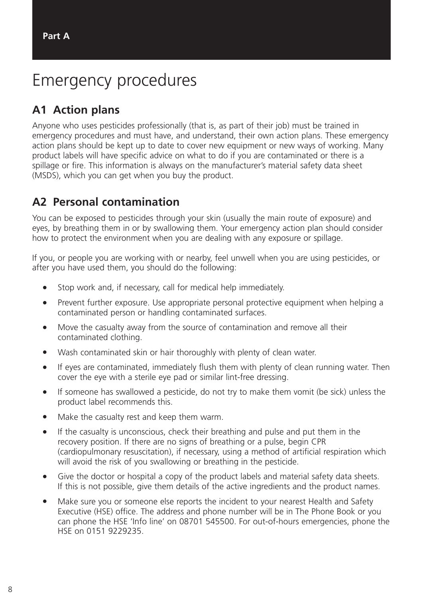## <span id="page-8-0"></span>Emergency procedures

#### **A1 Action plans**

Anyone who uses pesticides professionally (that is, as part of their job) must be trained in emergency procedures and must have, and understand, their own action plans. These emergency action plans should be kept up to date to cover new equipment or new ways of working. Many product labels will have specific advice on what to do if you are contaminated or there is a spillage or fire. This information is always on the manufacturer's material safety data sheet (MSDS), which you can get when you buy the product.

#### **A2 Personal contamination**

You can be exposed to pesticides through your skin (usually the main route of exposure) and eyes, by breathing them in or by swallowing them. Your emergency action plan should consider how to protect the environment when you are dealing with any exposure or spillage.

If you, or people you are working with or nearby, feel unwell when you are using pesticides, or after you have used them, you should do the following:

- Stop work and, if necessary, call for medical help immediately.
- Prevent further exposure. Use appropriate personal protective equipment when helping a contaminated person or handling contaminated surfaces.
- Move the casualty away from the source of contamination and remove all their contaminated clothing.
- Wash contaminated skin or hair thoroughly with plenty of clean water.
- If eyes are contaminated, immediately flush them with plenty of clean running water. Then cover the eye with a sterile eye pad or similar lint-free dressing.
- If someone has swallowed a pesticide, do not try to make them vomit (be sick) unless the product label recommends this.
- Make the casualty rest and keep them warm.
- If the casualty is unconscious, check their breathing and pulse and put them in the recovery position. If there are no signs of breathing or a pulse, begin CPR (cardiopulmonary resuscitation), if necessary, using a method of artificial respiration which will avoid the risk of you swallowing or breathing in the pesticide.
- Give the doctor or hospital a copy of the product labels and material safety data sheets. If this is not possible, give them details of the active ingredients and the product names.
- Make sure you or someone else reports the incident to your nearest Health and Safety Executive (HSE) office. The address and phone number will be in The Phone Book or you can phone the HSE 'Info line' on 08701 545500. For out-of-hours emergencies, phone the HSE on 0151 9229235.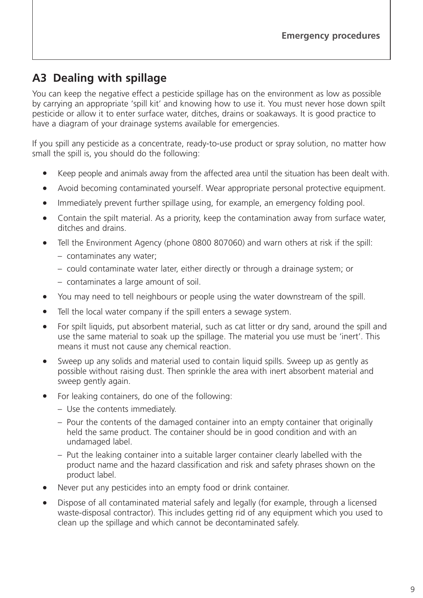#### <span id="page-9-0"></span>**A3 Dealing with spillage**

You can keep the negative effect a pesticide spillage has on the environment as low as possible by carrying an appropriate 'spill kit' and knowing how to use it. You must never hose down spilt pesticide or allow it to enter surface water, ditches, drains or soakaways. It is good practice to have a diagram of your drainage systems available for emergencies.

If you spill any pesticide as a concentrate, ready-to-use product or spray solution, no matter how small the spill is, you should do the following:

- Keep people and animals away from the affected area until the situation has been dealt with.
- Avoid becoming contaminated yourself. Wear appropriate personal protective equipment.
- Immediately prevent further spillage using, for example, an emergency folding pool.
- Contain the spilt material. As a priority, keep the contamination away from surface water, ditches and drains.
- Tell the Environment Agency (phone 0800 807060) and warn others at risk if the spill:
	- contaminates any water;
	- could contaminate water later, either directly or through a drainage system; or
	- contaminates a large amount of soil.
- You may need to tell neighbours or people using the water downstream of the spill.
- Tell the local water company if the spill enters a sewage system.
- For spilt liquids, put absorbent material, such as cat litter or dry sand, around the spill and use the same material to soak up the spillage. The material you use must be 'inert'. This means it must not cause any chemical reaction.
- Sweep up any solids and material used to contain liquid spills. Sweep up as gently as possible without raising dust. Then sprinkle the area with inert absorbent material and sweep gently again.
- For leaking containers, do one of the following:
	- Use the contents immediately.
	- Pour the contents of the damaged container into an empty container that originally held the same product. The container should be in good condition and with an undamaged label.
	- Put the leaking container into a suitable larger container clearly labelled with the product name and the hazard classification and risk and safety phrases shown on the product label.
- Never put any pesticides into an empty food or drink container.
- Dispose of all contaminated material safely and legally (for example, through a licensed waste-disposal contractor). This includes getting rid of any equipment which you used to clean up the spillage and which cannot be decontaminated safely.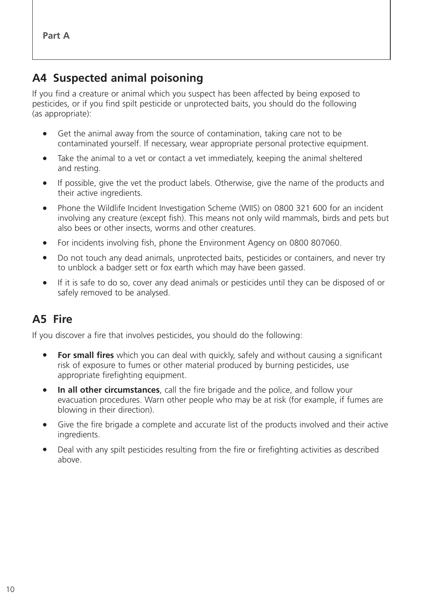#### <span id="page-10-0"></span>**A4 Suspected animal poisoning**

If you find a creature or animal which you suspect has been affected by being exposed to pesticides, or if you find spilt pesticide or unprotected baits, you should do the following (as appropriate):

- Get the animal away from the source of contamination, taking care not to be contaminated yourself. If necessary, wear appropriate personal protective equipment.
- Take the animal to a vet or contact a vet immediately, keeping the animal sheltered and resting.
- If possible, give the vet the product labels. Otherwise, give the name of the products and their active ingredients.
- Phone the Wildlife Incident Investigation Scheme (WIIS) on 0800 321 600 for an incident involving any creature (except fish). This means not only wild mammals, birds and pets but also bees or other insects, worms and other creatures.
- For incidents involving fish, phone the Environment Agency on 0800 807060.
- Do not touch any dead animals, unprotected baits, pesticides or containers, and never try to unblock a badger sett or fox earth which may have been gassed.
- If it is safe to do so, cover any dead animals or pesticides until they can be disposed of or safely removed to be analysed.

#### **A5 Fire**

If you discover a fire that involves pesticides, you should do the following:

- **For small fires** which you can deal with quickly, safely and without causing a significant risk of exposure to fumes or other material produced by burning pesticides, use appropriate firefighting equipment.
- **In all other circumstances**, call the fire brigade and the police, and follow your evacuation procedures. Warn other people who may be at risk (for example, if fumes are blowing in their direction).
- Give the fire brigade a complete and accurate list of the products involved and their active ingredients.
- Deal with any spilt pesticides resulting from the fire or firefighting activities as described above.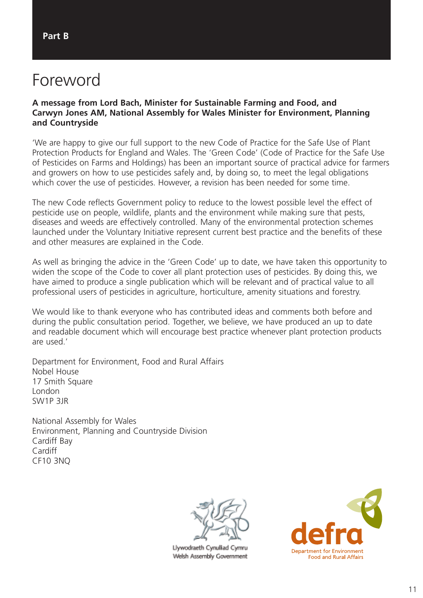### <span id="page-11-0"></span>Foreword

#### **A message from Lord Bach, Minister for Sustainable Farming and Food, and Carwyn Jones AM, National Assembly for Wales Minister for Environment, Planning and Countryside**

'We are happy to give our full support to the new Code of Practice for the Safe Use of Plant Protection Products for England and Wales. The 'Green Code' (Code of Practice for the Safe Use of Pesticides on Farms and Holdings) has been an important source of practical advice for farmers and growers on how to use pesticides safely and, by doing so, to meet the legal obligations which cover the use of pesticides. However, a revision has been needed for some time.

The new Code reflects Government policy to reduce to the lowest possible level the effect of pesticide use on people, wildlife, plants and the environment while making sure that pests, diseases and weeds are effectively controlled. Many of the environmental protection schemes launched under the Voluntary Initiative represent current best practice and the benefits of these and other measures are explained in the Code.

As well as bringing the advice in the 'Green Code' up to date, we have taken this opportunity to widen the scope of the Code to cover all plant protection uses of pesticides. By doing this, we have aimed to produce a single publication which will be relevant and of practical value to all professional users of pesticides in agriculture, horticulture, amenity situations and forestry.

We would like to thank everyone who has contributed ideas and comments both before and during the public consultation period. Together, we believe, we have produced an up to date and readable document which will encourage best practice whenever plant protection products are used.'

Department for Environment, Food and Rural Affairs Nobel House 17 Smith Square London SW1P 3JR

National Assembly for Wales Environment, Planning and Countryside Division Cardiff Bay Cardiff CF10 3NQ



Llywodraeth Cynulliad Cymru Welsh Assembly Government

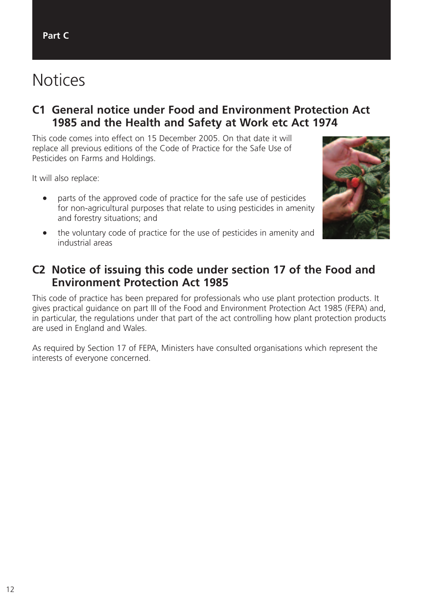# <span id="page-12-0"></span>**Notices**

#### **C1 General notice under Food and Environment Protection Act 1985 and the Health and Safety at Work etc Act 1974**

This code comes into effect on 15 December 2005. On that date it will replace all previous editions of the Code of Practice for the Safe Use of Pesticides on Farms and Holdings.

It will also replace:

- parts of the approved code of practice for the safe use of pesticides for non-agricultural purposes that relate to using pesticides in amenity and forestry situations; and
- the voluntary code of practice for the use of pesticides in amenity and industrial areas



#### **C2 Notice of issuing this code under section 17 of the Food and Environment Protection Act 1985**

This code of practice has been prepared for professionals who use plant protection products. It gives practical guidance on part III of the Food and Environment Protection Act 1985 (FEPA) and, in particular, the regulations under that part of the act controlling how plant protection products are used in England and Wales.

As required by Section 17 of FEPA, Ministers have consulted organisations which represent the interests of everyone concerned.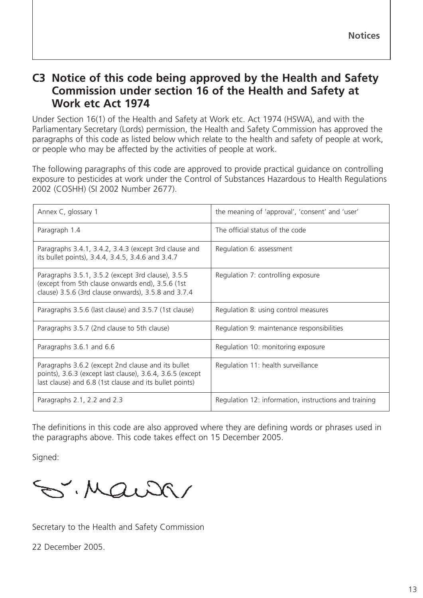#### <span id="page-13-0"></span>**C3 Notice of this code being approved by the Health and Safety Commission under section 16 of the Health and Safety at Work etc Act 1974**

Under Section 16(1) of the Health and Safety at Work etc. Act 1974 (HSWA), and with the Parliamentary Secretary (Lords) permission, the Health and Safety Commission has approved the paragraphs of this code as listed below which relate to the health and safety of people at work, or people who may be affected by the activities of people at work.

The following paragraphs of this code are approved to provide practical guidance on controlling exposure to pesticides at work under the Control of Substances Hazardous to Health Regulations 2002 (COSHH) (SI 2002 Number 2677).

| Annex C, glossary 1                                                                                                                                                        | the meaning of 'approval', 'consent' and 'user'       |
|----------------------------------------------------------------------------------------------------------------------------------------------------------------------------|-------------------------------------------------------|
| Paragraph 1.4                                                                                                                                                              | The official status of the code                       |
| Paragraphs 3.4.1, 3.4.2, 3.4.3 (except 3rd clause and<br>its bullet points), 3.4.4, 3.4.5, 3.4.6 and 3.4.7                                                                 | Regulation 6: assessment                              |
| Paragraphs 3.5.1, 3.5.2 (except 3rd clause), 3.5.5<br>(except from 5th clause onwards end), 3.5.6 (1st)<br>clause) 3.5.6 (3rd clause onwards), 3.5.8 and 3.7.4             | Regulation 7: controlling exposure                    |
| Paragraphs 3.5.6 (last clause) and 3.5.7 (1st clause)                                                                                                                      | Regulation 8: using control measures                  |
| Paragraphs 3.5.7 (2nd clause to 5th clause)                                                                                                                                | Regulation 9: maintenance responsibilities            |
| Paragraphs 3.6.1 and 6.6                                                                                                                                                   | Regulation 10: monitoring exposure                    |
| Paragraphs 3.6.2 (except 2nd clause and its bullet<br>points), 3.6.3 (except last clause), 3.6.4, 3.6.5 (except<br>last clause) and 6.8 (1st clause and its bullet points) | Regulation 11: health surveillance                    |
| Paragraphs 2.1, 2.2 and 2.3                                                                                                                                                | Regulation 12: information, instructions and training |

The definitions in this code are also approved where they are defining words or phrases used in the paragraphs above. This code takes effect on 15 December 2005.

Signed:

S. Maison

Secretary to the Health and Safety Commission

22 December 2005.